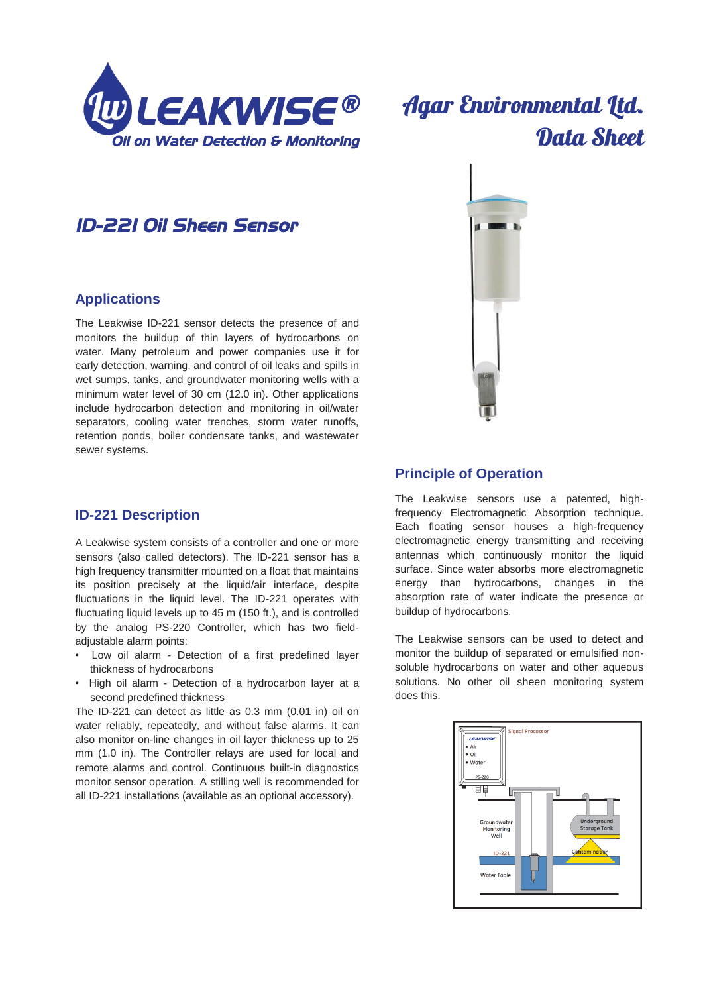

# **Agar Environmental Ltd.** Data Sheet

# *ID-221 Oil Sheen Sensor*

## **Applications**

The Leakwise ID-221 sensor detects the presence of and monitors the buildup of thin layers of hydrocarbons on water. Many petroleum and power companies use it for early detection, warning, and control of oil leaks and spills in wet sumps, tanks, and groundwater monitoring wells with a minimum water level of 30 cm (12.0 in). Other applications include hydrocarbon detection and monitoring in oil/water separators, cooling water trenches, storm water runoffs, retention ponds, boiler condensate tanks, and wastewater sewer systems.

# **ID-221 Description**

A Leakwise system consists of a controller and one or more sensors (also called detectors). The ID-221 sensor has a high frequency transmitter mounted on a float that maintains its position precisely at the liquid/air interface, despite fluctuations in the liquid level. The ID-221 operates with fluctuating liquid levels up to 45 m (150 ft.), and is controlled by the analog PS-220 Controller, which has two fieldadjustable alarm points:

- Low oil alarm Detection of a first predefined layer thickness of hydrocarbons
- High oil alarm Detection of a hydrocarbon layer at a second predefined thickness

The ID-221 can detect as little as 0.3 mm (0.01 in) oil on water reliably, repeatedly, and without false alarms. It can also monitor on-line changes in oil layer thickness up to 25 mm (1.0 in). The Controller relays are used for local and remote alarms and control. Continuous built-in diagnostics monitor sensor operation. A stilling well is recommended for all ID-221 installations (available as an optional accessory).



## **Principle of Operation**

The Leakwise sensors use a patented, highfrequency Electromagnetic Absorption technique. Each floating sensor houses a high-frequency electromagnetic energy transmitting and receiving antennas which continuously monitor the liquid surface. Since water absorbs more electromagnetic energy than hydrocarbons, changes in the absorption rate of water indicate the presence or buildup of hydrocarbons.

The Leakwise sensors can be used to detect and monitor the buildup of separated or emulsified nonsoluble hydrocarbons on water and other aqueous solutions. No other oil sheen monitoring system does this.